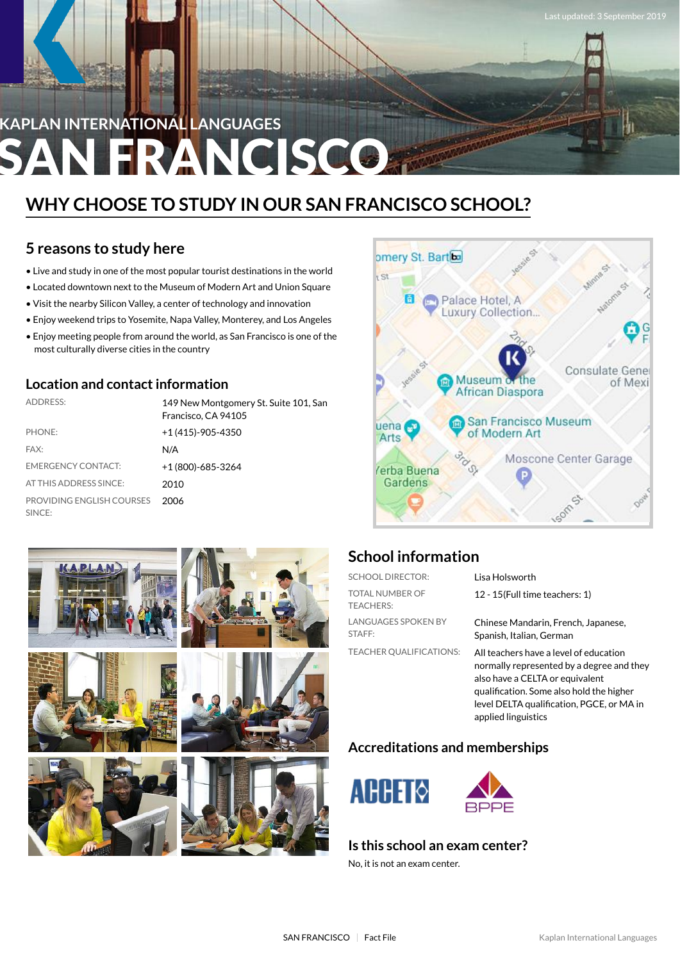# **KAPLAN INTERNATIONAL LANGUAGES FRANCISCO**

## **WHY CHOOSE TO STUDY IN OUR SAN FRANCISCO SCHOOL?**

## **5 reasons to study here**

- Live and study in one of the most popular tourist destinations in the world
- Located downtown next to the Museum of Modern Art and Union Square
- Visit the nearby Silicon Valley, a center of technology and innovation
- Enjoy weekend trips to Yosemite, Napa Valley, Monterey, and Los Angeles
- Enjoy meeting people from around the world, as San Francisco is one of the most culturally diverse cities in the country

### **Location and contactinformation**

| <b>ADDRESS:</b>                     | 149 New Montgomery St. Suite 101, San<br>Francisco, CA 94105 |
|-------------------------------------|--------------------------------------------------------------|
| PHONE:                              | $+1(415)-905-4350$                                           |
| FAX:                                | N/A                                                          |
| <b>EMERGENCY CONTACT:</b>           | +1 (800)-685-3264                                            |
| AT THIS ADDRESS SINCE:              | 2010                                                         |
| PROVIDING ENGLISH COURSES<br>SINCE: | 2006                                                         |





## **School information**

| <b>SCHOOL DIRECTOR:</b>                    | Lisa Holsworth                                                                                                                                                                                                                         |
|--------------------------------------------|----------------------------------------------------------------------------------------------------------------------------------------------------------------------------------------------------------------------------------------|
| <b>TOTAL NUMBER OF</b><br><b>TEACHERS:</b> | 12 - 15 (Full time teachers: 1)                                                                                                                                                                                                        |
| <b>LANGUAGES SPOKEN BY</b><br>STAFF:       | Chinese Mandarin, French, Japanese,<br>Spanish, Italian, German                                                                                                                                                                        |
| <b>TEACHER OUALIFICATIONS:</b>             | All teachers have a level of education<br>normally represented by a degree and they<br>also have a CELTA or equivalent<br>qualification. Some also hold the higher<br>level DELTA qualification, PGCE, or MA in<br>applied linguistics |

### **Accreditations and memberships**



#### **Is this school an exam center?**

No, it is not an exam center.

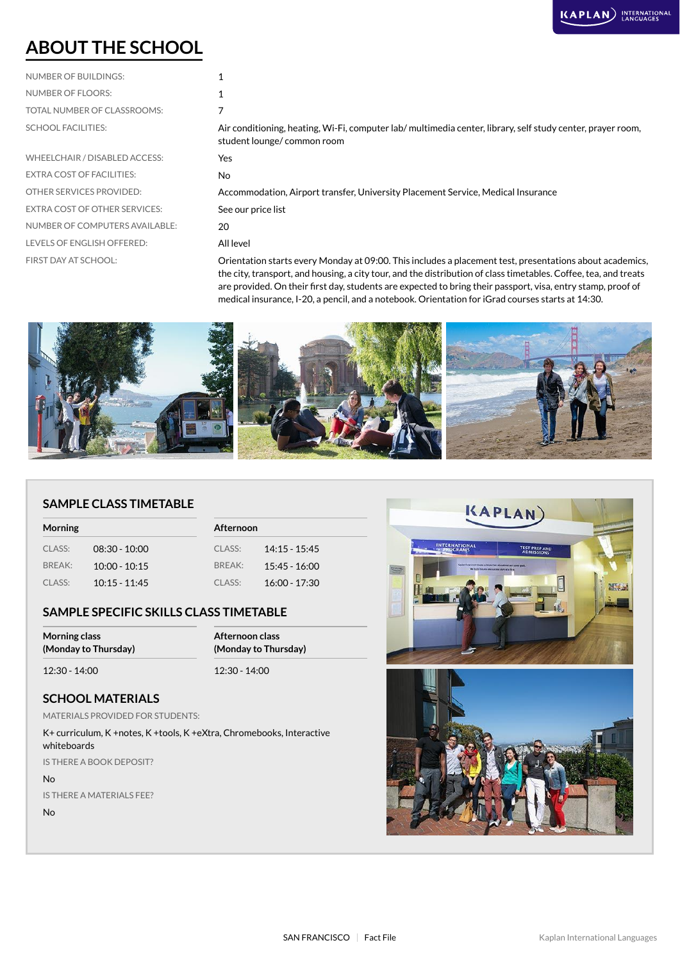## **ABOUT THE SCHOOL**

## NUMBER OF BUILDINGS: 1 NUMBER OF FLOORS: 2008 TOTAL NUMBER OF CLASSROOMS: 7

| INUIVIDEN UF FLUUNJ.             |                                                                                                                                           |
|----------------------------------|-------------------------------------------------------------------------------------------------------------------------------------------|
| TOTAL NUMBER OF CLASSROOMS:      |                                                                                                                                           |
| <b>SCHOOL FACILITIES:</b>        | Air conditioning, heating, Wi-Fi, computer lab/ multimedia center, library, self study center, prayer room,<br>student lounge/common room |
| WHEELCHAIR / DISABLED ACCESS:    | Yes                                                                                                                                       |
| <b>EXTRA COST OF FACILITIES:</b> | No.                                                                                                                                       |
| OTHER SERVICES PROVIDED:         | Accommodation, Airport transfer, University Placement Service, Medical Insurance                                                          |
| EXTRA COST OF OTHER SERVICES:    | See our price list                                                                                                                        |
| NUMBER OF COMPUTERS AVAILABLE:   | 20                                                                                                                                        |
| LEVELS OF ENGLISH OFFERED:       | All level                                                                                                                                 |
| FIRST DAY AT SCHOOL:             | Orientation starts every Monday at 09:00 This includes a placement test presentations about academic                                      |

FIRST DAY AT SCHOOL: **Orientation starts every Monday at 09:00. This includes a placement test, presentations about academics,** the city, transport, and housing, a city tour, and the distribution of class timetables. Coffee, tea, and treats are provided. On their first day, students are expected to bring their passport, visa, entry stamp, proof of medical insurance, I-20, a pencil, and a notebook. Orientation for iGrad courses starts at 14:30.



#### **SAMPLE CLASS TIMETABLE**

| <b>Morning</b> |                 |        | <b>Afternoon</b> |  |
|----------------|-----------------|--------|------------------|--|
| CLASS:         | $08:30 - 10:00$ | CLASS: | $14:15 - 15:45$  |  |
| BREAK:         | $10:00 - 10:15$ | RRFAK: | $15:45 - 16:00$  |  |
| CLASS:         | $10:15 - 11:45$ | CLASS: | $16:00 - 17:30$  |  |

#### **SAMPLE SPECIFIC SKILLS CLASS TIMETABLE**

| <b>Morning class</b> | Afternoon class      |  |
|----------------------|----------------------|--|
| (Monday to Thursday) | (Monday to Thursday) |  |
| 12:30 - 14:00        | $12:30 - 14:00$      |  |

#### **SCHOOL MATERIALS**

MATERIALS PROVIDED FOR STUDENTS:

K+ curriculum, K +notes, K +tools, K +eXtra, Chromebooks, Interactive whiteboards

IS THERE A BOOK DEPOSIT?

#### No

IS THERE A MATERIALS FEE?

No

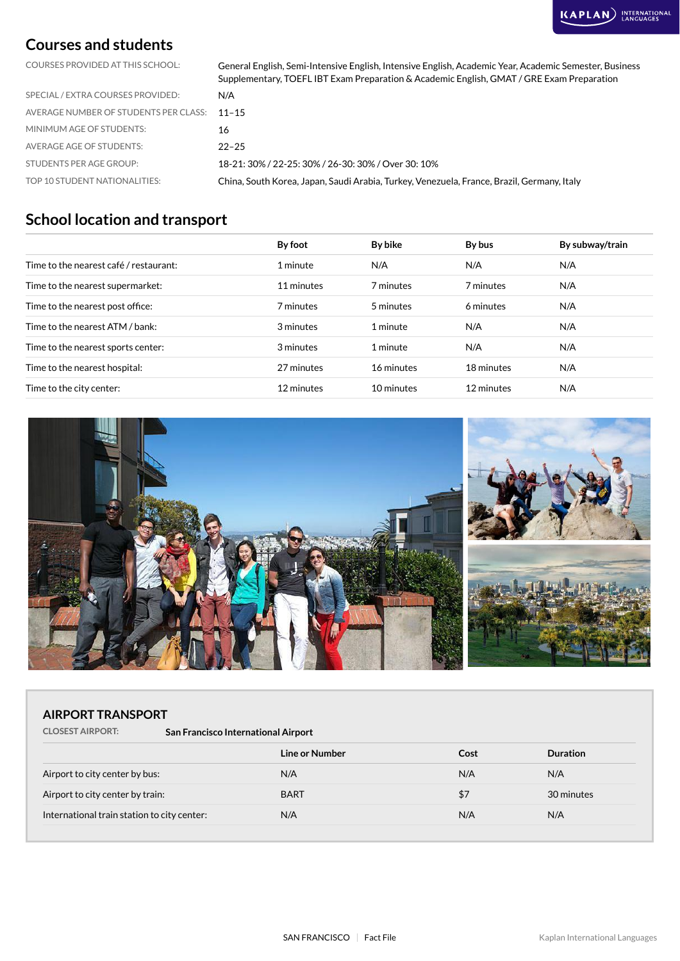### **Courses and students**

COURSES PROVIDED AT THIS SCHOOL: General English, Semi-Intensive English, Intensive English, Academic Year, Academic Semester, Business Supplementary, TOEFL IBT Exam Preparation & Academic English, GMAT / GRE Exam Preparation

| TOP 10 STUDENT NATIONALITIES:               | China, South Korea, Japan, Saudi Arabia, Turkey, Venezuela, France, Brazil, Germany, Italy |
|---------------------------------------------|--------------------------------------------------------------------------------------------|
| STUDENTS PER AGE GROUP:                     | 18-21: 30% / 22-25: 30% / 26-30: 30% / Over 30: 10%                                        |
| AVERAGE AGE OF STUDENTS:                    | $22 - 25$                                                                                  |
| MINIMUM AGE OF STUDENTS:                    | 16                                                                                         |
| AVERAGE NUMBER OF STUDENTS PER CLASS: 11-15 |                                                                                            |
| SPECIAL / EXTRA COURSES PROVIDED:           | N/A                                                                                        |

## **School location and transport**

|                                        | By foot    | By bike    | By bus     | By subway/train |
|----------------------------------------|------------|------------|------------|-----------------|
| Time to the nearest café / restaurant: | 1 minute   | N/A        | N/A        | N/A             |
| Time to the nearest supermarket:       | 11 minutes | 7 minutes  | 7 minutes  | N/A             |
| Time to the nearest post office:       | 7 minutes  | 5 minutes  | 6 minutes  | N/A             |
| Time to the nearest ATM / bank:        | 3 minutes  | 1 minute   | N/A        | N/A             |
| Time to the nearest sports center:     | 3 minutes  | 1 minute   | N/A        | N/A             |
| Time to the nearest hospital:          | 27 minutes | 16 minutes | 18 minutes | N/A             |
| Time to the city center:               | 12 minutes | 10 minutes | 12 minutes | N/A             |



#### **AIRPORT TRANSPORT**

**CLOSEST AIRPORT: San Francisco International Airport**

|                                             | Line or Number | Cost | <b>Duration</b> |
|---------------------------------------------|----------------|------|-----------------|
| Airport to city center by bus:              | N/A            | N/A  | N/A             |
| Airport to city center by train:            | <b>BART</b>    | \$7  | 30 minutes      |
| International train station to city center: | N/A            | N/A  | N/A             |
|                                             |                |      |                 |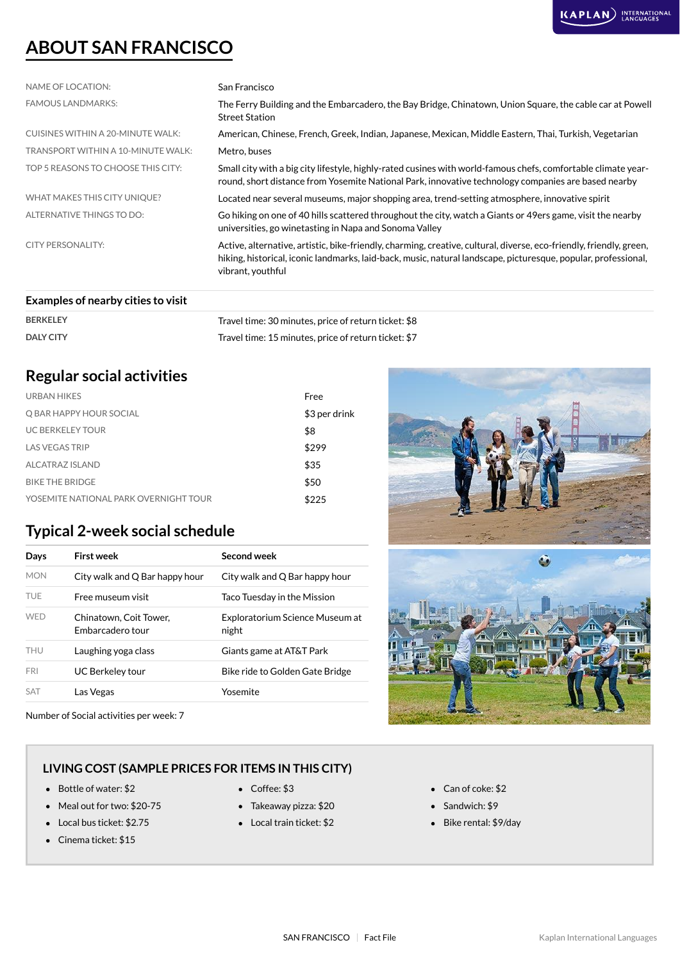

## **ABOUT SAN FRANCISCO**

| NAME OF LOCATION:                  | San Francisco                                                                                                                                                                                                                                              |
|------------------------------------|------------------------------------------------------------------------------------------------------------------------------------------------------------------------------------------------------------------------------------------------------------|
| <b>FAMOUS LANDMARKS:</b>           | The Ferry Building and the Embarcadero, the Bay Bridge, Chinatown, Union Square, the cable car at Powell<br><b>Street Station</b>                                                                                                                          |
| CUISINES WITHIN A 20-MINUTE WALK:  | American, Chinese, French, Greek, Indian, Japanese, Mexican, Middle Eastern, Thai, Turkish, Vegetarian                                                                                                                                                     |
| TRANSPORT WITHIN A 10-MINUTE WALK: | Metro, buses                                                                                                                                                                                                                                               |
| TOP 5 REASONS TO CHOOSE THIS CITY: | Small city with a big city lifestyle, highly-rated cusines with world-famous chefs, comfortable climate year-<br>round, short distance from Yosemite National Park, innovative technology companies are based nearby                                       |
| WHAT MAKES THIS CITY UNIQUE?       | Located near several museums, major shopping area, trend-setting atmosphere, innovative spirit                                                                                                                                                             |
| ALTERNATIVE THINGS TO DO:          | Go hiking on one of 40 hills scattered throughout the city, watch a Giants or 49ers game, visit the nearby<br>universities, go winetasting in Napa and Sonoma Valley                                                                                       |
| <b>CITY PERSONALITY:</b>           | Active, alternative, artistic, bike-friendly, charming, creative, cultural, diverse, eco-friendly, friendly, green,<br>hiking, historical, iconic landmarks, laid-back, music, natural landscape, picturesque, popular, professional,<br>vibrant, youthful |
|                                    |                                                                                                                                                                                                                                                            |

#### **Examples of nearby cities to visit**

| <b>BERKELEY</b>  | Travel time: 30 minutes, price of return ticket: \$8 |
|------------------|------------------------------------------------------|
| <b>DALY CITY</b> | Travel time: 15 minutes, price of return ticket: \$7 |

## **Regular social activities**

| URBAN HIKES                           | Free          |
|---------------------------------------|---------------|
| Q BAR HAPPY HOUR SOCIAL               | \$3 per drink |
| <b>UC BERKELEY TOUR</b>               | \$8           |
| <b>LAS VEGAS TRIP</b>                 | \$299         |
| ALCATRAZ ISLAND                       | \$35          |
| <b>BIKE THE BRIDGE</b>                | \$50          |
| YOSEMITE NATIONAL PARK OVERNIGHT TOUR | \$225         |
|                                       |               |

### **Typical 2-week social schedule**

| Days       | First week                                 | Second week                              |
|------------|--------------------------------------------|------------------------------------------|
| <b>MON</b> | City walk and Q Bar happy hour             | City walk and Q Bar happy hour           |
| <b>TUE</b> | Free museum visit                          | Taco Tuesday in the Mission              |
| <b>WFD</b> | Chinatown, Coit Tower,<br>Embarcadero tour | Exploratorium Science Museum at<br>night |
| THU        | Laughing yoga class                        | Giants game at AT&T Park                 |
| <b>FRI</b> | UC Berkeley tour                           | Bike ride to Golden Gate Bridge          |
| <b>SAT</b> | Las Vegas                                  | Yosemite                                 |

Number of Social activities per week: 7





#### **LIVING COST (SAMPLE PRICES FOR ITEMS IN THIS CITY)**

- Bottle of water: \$2 Coffee: \$3 Can of coke: \$2
- Meal out for two: \$20-75 Takeaway pizza: \$20 Sandwich: \$9
- 
- Cinema ticket: \$15
- 
- 
- Local bus ticket: \$2.75 Local train ticket: \$2 Bike rental: \$9/day
- 
- -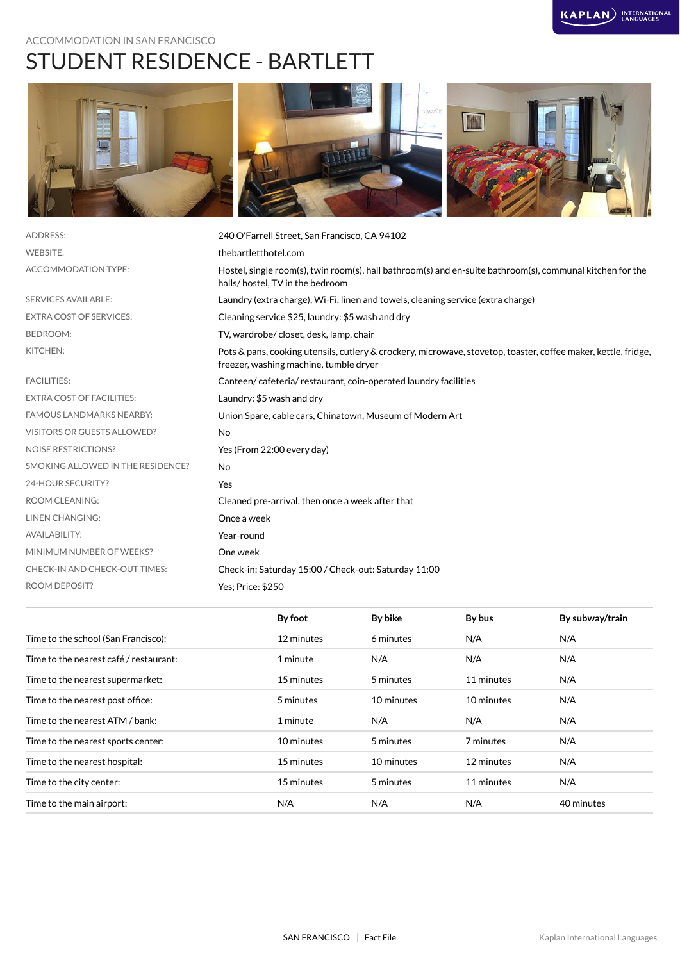#### ACCOMMODATION IN SAN FRANCISCO

## STUDENT RESIDENCE - BARTLETT







| <b>ADDRESS:</b>                   | 240 O'Farrell Street, San Francisco, CA 94102                                                                                                            |
|-----------------------------------|----------------------------------------------------------------------------------------------------------------------------------------------------------|
| <b>WEBSITE:</b>                   | thebartletthotel.com                                                                                                                                     |
| <b>ACCOMMODATION TYPE:</b>        | Hostel, single room(s), twin room(s), hall bathroom(s) and en-suite bathroom(s), communal kitchen for the<br>halls/hostel, TV in the bedroom             |
| <b>SERVICES AVAILABLE:</b>        | Laundry (extra charge), Wi-Fi, linen and towels, cleaning service (extra charge)                                                                         |
| <b>EXTRA COST OF SERVICES:</b>    | Cleaning service \$25, laundry: \$5 wash and dry                                                                                                         |
| <b>BEDROOM:</b>                   | TV, wardrobe/closet, desk, lamp, chair                                                                                                                   |
| KITCHEN:                          | Pots & pans, cooking utensils, cutlery & crockery, microwave, stovetop, toaster, coffee maker, kettle, fridge,<br>freezer, washing machine, tumble dryer |
| <b>FACILITIES:</b>                | Canteen/cafeteria/restaurant, coin-operated laundry facilities                                                                                           |
| <b>EXTRA COST OF FACILITIES:</b>  | Laundry: \$5 wash and dry                                                                                                                                |
| <b>FAMOUS LANDMARKS NEARBY:</b>   | Union Spare, cable cars, Chinatown, Museum of Modern Art                                                                                                 |
| VISITORS OR GUESTS ALLOWED?       | <b>No</b>                                                                                                                                                |
| <b>NOISE RESTRICTIONS?</b>        | Yes (From 22:00 every day)                                                                                                                               |
| SMOKING ALLOWED IN THE RESIDENCE? | <b>No</b>                                                                                                                                                |
| 24-HOUR SECURITY?                 | Yes                                                                                                                                                      |
| <b>ROOM CLEANING:</b>             | Cleaned pre-arrival, then once a week after that                                                                                                         |
| <b>LINEN CHANGING:</b>            | Once a week                                                                                                                                              |
| <b>AVAILABILITY:</b>              | Year-round                                                                                                                                               |
| MINIMUM NUMBER OF WEEKS?          | One week                                                                                                                                                 |
| CHECK-IN AND CHECK-OUT TIMES:     | Check-in: Saturday 15:00 / Check-out: Saturday 11:00                                                                                                     |
| <b>ROOM DEPOSIT?</b>              | Yes: Price: \$250                                                                                                                                        |
|                                   |                                                                                                                                                          |

|                                        | By foot    | By bike    | By bus     | By subway/train |
|----------------------------------------|------------|------------|------------|-----------------|
| Time to the school (San Francisco):    | 12 minutes | 6 minutes  | N/A        | N/A             |
| Time to the nearest café / restaurant: | 1 minute   | N/A        | N/A        | N/A             |
| Time to the nearest supermarket:       | 15 minutes | 5 minutes  | 11 minutes | N/A             |
| Time to the nearest post office:       | 5 minutes  | 10 minutes | 10 minutes | N/A             |
| Time to the nearest ATM / bank:        | 1 minute   | N/A        | N/A        | N/A             |
| Time to the nearest sports center:     | 10 minutes | 5 minutes  | 7 minutes  | N/A             |
| Time to the nearest hospital:          | 15 minutes | 10 minutes | 12 minutes | N/A             |
| Time to the city center:               | 15 minutes | 5 minutes  | 11 minutes | N/A             |
| Time to the main airport:              | N/A        | N/A        | N/A        | 40 minutes      |